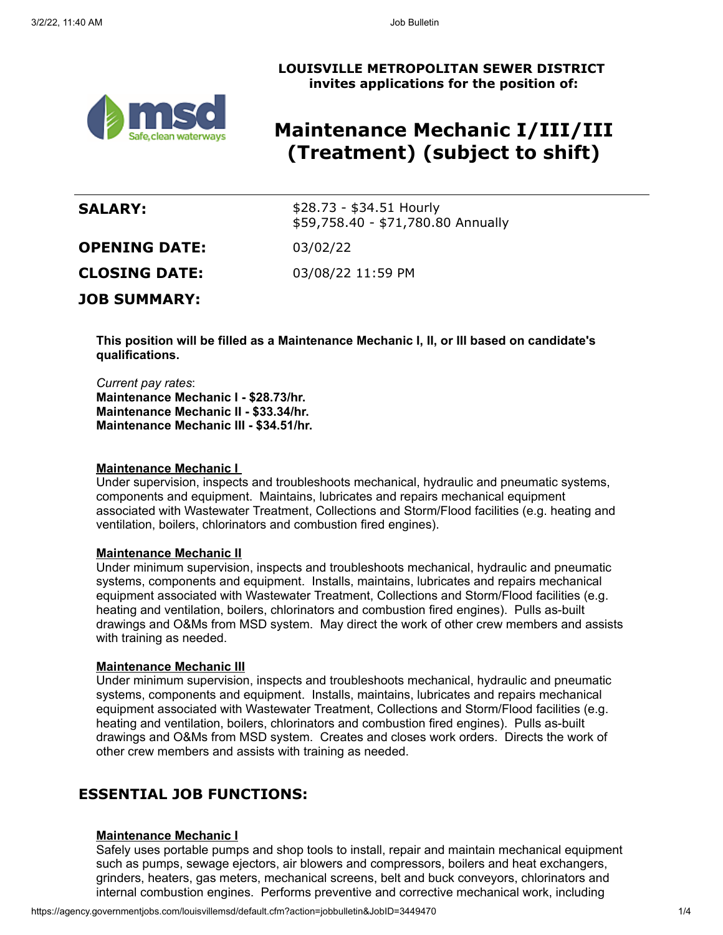## **LOUISVILLE METROPOLITAN SEWER DISTRICT invites applications for the position of:**



# **Maintenance Mechanic I/III/III (Treatment) (subject to shift)**

| <b>SALARY:</b>       | $$28.73 - $34.51$ Hourly<br>\$59,758.40 - \$71,780.80 Annually |
|----------------------|----------------------------------------------------------------|
| <b>OPENING DATE:</b> | 03/02/22                                                       |
| <b>CLOSING DATE:</b> | 03/08/22 11:59 PM                                              |
| <b>JOB SUMMARY:</b>  |                                                                |
|                      |                                                                |

**This position will be filled as a Maintenance Mechanic I, II, or III based on candidate's qualifications.**

*Current pay rates*: **Maintenance Mechanic I - \$28.73/hr. Maintenance Mechanic II - \$33.34/hr. Maintenance Mechanic III - \$34.51/hr.**

#### **Maintenance Mechanic I**

Under supervision, inspects and troubleshoots mechanical, hydraulic and pneumatic systems, components and equipment. Maintains, lubricates and repairs mechanical equipment associated with Wastewater Treatment, Collections and Storm/Flood facilities (e.g. heating and ventilation, boilers, chlorinators and combustion fired engines).

## **Maintenance Mechanic II**

Under minimum supervision, inspects and troubleshoots mechanical, hydraulic and pneumatic systems, components and equipment. Installs, maintains, lubricates and repairs mechanical equipment associated with Wastewater Treatment, Collections and Storm/Flood facilities (e.g. heating and ventilation, boilers, chlorinators and combustion fired engines). Pulls as-built drawings and O&Ms from MSD system. May direct the work of other crew members and assists with training as needed.

#### **Maintenance Mechanic III**

Under minimum supervision, inspects and troubleshoots mechanical, hydraulic and pneumatic systems, components and equipment. Installs, maintains, lubricates and repairs mechanical equipment associated with Wastewater Treatment, Collections and Storm/Flood facilities (e.g. heating and ventilation, boilers, chlorinators and combustion fired engines). Pulls as-built drawings and O&Ms from MSD system. Creates and closes work orders. Directs the work of other crew members and assists with training as needed.

## **ESSENTIAL JOB FUNCTIONS:**

## **Maintenance Mechanic I**

Safely uses portable pumps and shop tools to install, repair and maintain mechanical equipment such as pumps, sewage ejectors, air blowers and compressors, boilers and heat exchangers, grinders, heaters, gas meters, mechanical screens, belt and buck conveyors, chlorinators and internal combustion engines. Performs preventive and corrective mechanical work, including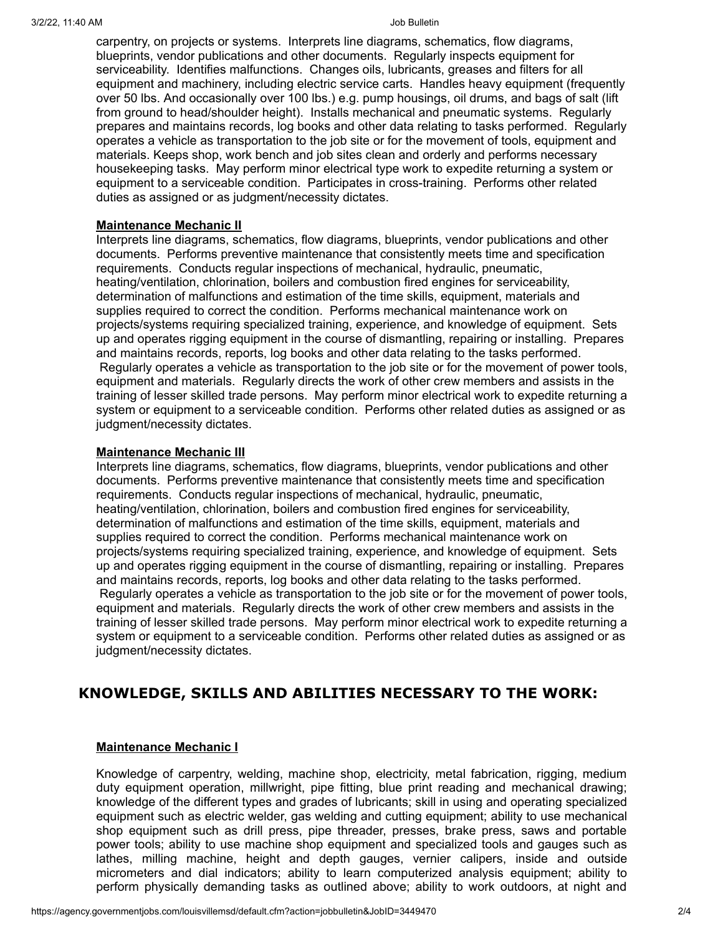carpentry, on projects or systems. Interprets line diagrams, schematics, flow diagrams, blueprints, vendor publications and other documents. Regularly inspects equipment for serviceability. Identifies malfunctions. Changes oils, lubricants, greases and filters for all equipment and machinery, including electric service carts. Handles heavy equipment (frequently over 50 lbs. And occasionally over 100 lbs.) e.g. pump housings, oil drums, and bags of salt (lift from ground to head/shoulder height). Installs mechanical and pneumatic systems. Regularly prepares and maintains records, log books and other data relating to tasks performed. Regularly operates a vehicle as transportation to the job site or for the movement of tools, equipment and materials. Keeps shop, work bench and job sites clean and orderly and performs necessary housekeeping tasks. May perform minor electrical type work to expedite returning a system or equipment to a serviceable condition. Participates in cross-training. Performs other related duties as assigned or as judgment/necessity dictates.

### **Maintenance Mechanic II**

Interprets line diagrams, schematics, flow diagrams, blueprints, vendor publications and other documents. Performs preventive maintenance that consistently meets time and specification requirements. Conducts regular inspections of mechanical, hydraulic, pneumatic, heating/ventilation, chlorination, boilers and combustion fired engines for serviceability, determination of malfunctions and estimation of the time skills, equipment, materials and supplies required to correct the condition. Performs mechanical maintenance work on projects/systems requiring specialized training, experience, and knowledge of equipment. Sets up and operates rigging equipment in the course of dismantling, repairing or installing. Prepares and maintains records, reports, log books and other data relating to the tasks performed. Regularly operates a vehicle as transportation to the job site or for the movement of power tools, equipment and materials. Regularly directs the work of other crew members and assists in the training of lesser skilled trade persons. May perform minor electrical work to expedite returning a system or equipment to a serviceable condition. Performs other related duties as assigned or as judgment/necessity dictates.

### **Maintenance Mechanic III**

Interprets line diagrams, schematics, flow diagrams, blueprints, vendor publications and other documents. Performs preventive maintenance that consistently meets time and specification requirements. Conducts regular inspections of mechanical, hydraulic, pneumatic, heating/ventilation, chlorination, boilers and combustion fired engines for serviceability, determination of malfunctions and estimation of the time skills, equipment, materials and supplies required to correct the condition. Performs mechanical maintenance work on projects/systems requiring specialized training, experience, and knowledge of equipment. Sets up and operates rigging equipment in the course of dismantling, repairing or installing. Prepares and maintains records, reports, log books and other data relating to the tasks performed. Regularly operates a vehicle as transportation to the job site or for the movement of power tools, equipment and materials. Regularly directs the work of other crew members and assists in the training of lesser skilled trade persons. May perform minor electrical work to expedite returning a system or equipment to a serviceable condition. Performs other related duties as assigned or as judgment/necessity dictates.

## **KNOWLEDGE, SKILLS AND ABILITIES NECESSARY TO THE WORK:**

## **Maintenance Mechanic I**

Knowledge of carpentry, welding, machine shop, electricity, metal fabrication, rigging, medium duty equipment operation, millwright, pipe fitting, blue print reading and mechanical drawing; knowledge of the different types and grades of lubricants; skill in using and operating specialized equipment such as electric welder, gas welding and cutting equipment; ability to use mechanical shop equipment such as drill press, pipe threader, presses, brake press, saws and portable power tools; ability to use machine shop equipment and specialized tools and gauges such as lathes, milling machine, height and depth gauges, vernier calipers, inside and outside micrometers and dial indicators; ability to learn computerized analysis equipment; ability to perform physically demanding tasks as outlined above; ability to work outdoors, at night and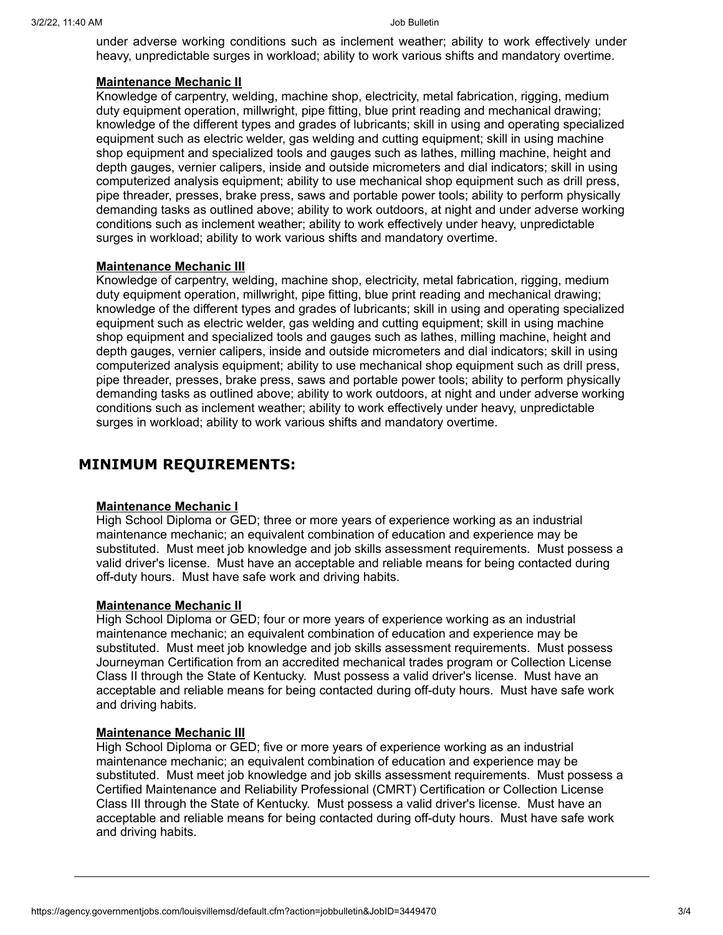under adverse working conditions such as inclement weather; ability to work effectively under heavy, unpredictable surges in workload; ability to work various shifts and mandatory overtime.

## **Maintenance Mechanic II**

Knowledge of carpentry, welding, machine shop, electricity, metal fabrication, rigging, medium duty equipment operation, millwright, pipe fitting, blue print reading and mechanical drawing; knowledge of the different types and grades of lubricants; skill in using and operating specialized equipment such as electric welder, gas welding and cutting equipment; skill in using machine shop equipment and specialized tools and gauges such as lathes, milling machine, height and depth gauges, vernier calipers, inside and outside micrometers and dial indicators; skill in using computerized analysis equipment; ability to use mechanical shop equipment such as drill press, pipe threader, presses, brake press, saws and portable power tools; ability to perform physically demanding tasks as outlined above; ability to work outdoors, at night and under adverse working conditions such as inclement weather; ability to work effectively under heavy, unpredictable surges in workload; ability to work various shifts and mandatory overtime.

## **Maintenance Mechanic III**

Knowledge of carpentry, welding, machine shop, electricity, metal fabrication, rigging, medium duty equipment operation, millwright, pipe fitting, blue print reading and mechanical drawing; knowledge of the different types and grades of lubricants; skill in using and operating specialized equipment such as electric welder, gas welding and cutting equipment; skill in using machine shop equipment and specialized tools and gauges such as lathes, milling machine, height and depth gauges, vernier calipers, inside and outside micrometers and dial indicators; skill in using computerized analysis equipment; ability to use mechanical shop equipment such as drill press, pipe threader, presses, brake press, saws and portable power tools; ability to perform physically demanding tasks as outlined above; ability to work outdoors, at night and under adverse working conditions such as inclement weather; ability to work effectively under heavy, unpredictable surges in workload; ability to work various shifts and mandatory overtime.

## **MINIMUM REQUIREMENTS:**

## **Maintenance Mechanic I**

High School Diploma or GED; three or more years of experience working as an industrial maintenance mechanic; an equivalent combination of education and experience may be substituted. Must meet job knowledge and job skills assessment requirements. Must possess a valid driver's license. Must have an acceptable and reliable means for being contacted during off-duty hours. Must have safe work and driving habits.

## **Maintenance Mechanic II**

High School Diploma or GED; four or more years of experience working as an industrial maintenance mechanic; an equivalent combination of education and experience may be substituted. Must meet job knowledge and job skills assessment requirements. Must possess Journeyman Certification from an accredited mechanical trades program or Collection License Class II through the State of Kentucky. Must possess a valid driver's license. Must have an acceptable and reliable means for being contacted during off-duty hours. Must have safe work and driving habits.

## **Maintenance Mechanic III**

High School Diploma or GED; five or more years of experience working as an industrial maintenance mechanic; an equivalent combination of education and experience may be substituted. Must meet job knowledge and job skills assessment requirements. Must possess a Certified Maintenance and Reliability Professional (CMRT) Certification or Collection License Class III through the State of Kentucky. Must possess a valid driver's license. Must have an acceptable and reliable means for being contacted during off-duty hours. Must have safe work and driving habits.